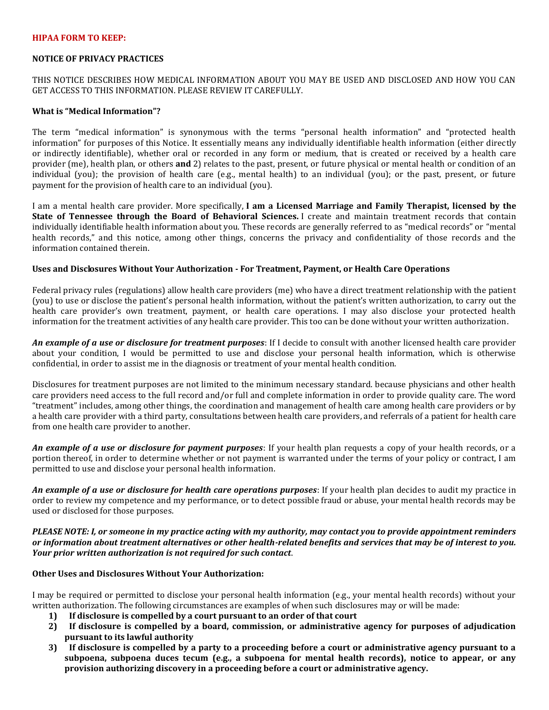#### **HIPAA FORM TO KEEP:**

### **NOTICE OF PRIVACY PRACTICES**

THIS NOTICE DESCRIBES HOW MEDICAL INFORMATION ABOUT YOU MAY BE USED AND DISCLOSED AND HOW YOU CAN GET ACCESS TO THIS INFORMATION. PLEASE REVIEW IT CAREFULLY.

## **What is "Medical Information"?**

The term "medical information" is synonymous with the terms "personal health information" and "protected health information" for purposes of this Notice. It essentially means any individually identifiable health information (either directly or indirectly identifiable), whether oral or recorded in any form or medium, that is created or received by a health care provider (me), health plan, or others **and** 2) relates to the past, present, or future physical or mental health or condition of an individual (you); the provision of health care (e.g., mental health) to an individual (you); or the past, present, or future payment for the provision of health care to an individual (you).

I am a mental health care provider. More specifically, **I am a Licensed Marriage and Family Therapist, licensed by the State of Tennessee through the Board of Behavioral Sciences.** I create and maintain treatment records that contain individually identifiable health information about you. These records are generally referred to as "medical records" or "mental health records," and this notice, among other things, concerns the privacy and confidentiality of those records and the information contained therein.

## **Uses and Disclosures Without Your Authorization - For Treatment, Payment, or Health Care Operations**

Federal privacy rules (regulations) allow health care providers (me) who have a direct treatment relationship with the patient (you) to use or disclose the patient's personal health information, without the patient's written authorization, to carry out the health care provider's own treatment, payment, or health care operations. I may also disclose your protected health information for the treatment activities of any health care provider. This too can be done without your written authorization.

*An example of a use or disclosure for treatment purposes*: If I decide to consult with another licensed health care provider about your condition, I would be permitted to use and disclose your personal health information, which is otherwise confidential, in order to assist me in the diagnosis or treatment of your mental health condition.

Disclosures for treatment purposes are not limited to the minimum necessary standard. because physicians and other health care providers need access to the full record and/or full and complete information in order to provide quality care. The word "treatment" includes, among other things, the coordination and management of health care among health care providers or by a health care provider with a third party, consultations between health care providers, and referrals of a patient for health care from one health care provider to another.

*An example of a use or disclosure for payment purposes*: If your health plan requests a copy of your health records, or a portion thereof, in order to determine whether or not payment is warranted under the terms of your policy or contract, I am permitted to use and disclose your personal health information.

*An example of a use or disclosure for health care operations purposes*: If your health plan decides to audit my practice in order to review my competence and my performance, or to detect possible fraud or abuse, your mental health records may be used or disclosed for those purposes.

*PLEASE NOTE: I, or someone in my practice acting with my authority, may contact you to provide appointment reminders or information about treatment alternatives or other health-related benefits and services that may be of interest to you. Your prior written authorization is not required for such contact*.

## **Other Uses and Disclosures Without Your Authorization:**

I may be required or permitted to disclose your personal health information (e.g., your mental health records) without your written authorization. The following circumstances are examples of when such disclosures may or will be made:

- **1) If disclosure is compelled by a court pursuant to an order of that court**
- **2) If disclosure is compelled by a board, commission, or administrative agency for purposes of adjudication pursuant to its lawful authority**
- **3) If disclosure is compelled by a party to a proceeding before a court or administrative agency pursuant to a subpoena, subpoena duces tecum (e.g., a subpoena for mental health records), notice to appear, or any provision authorizing discovery in a proceeding before a court or administrative agency.**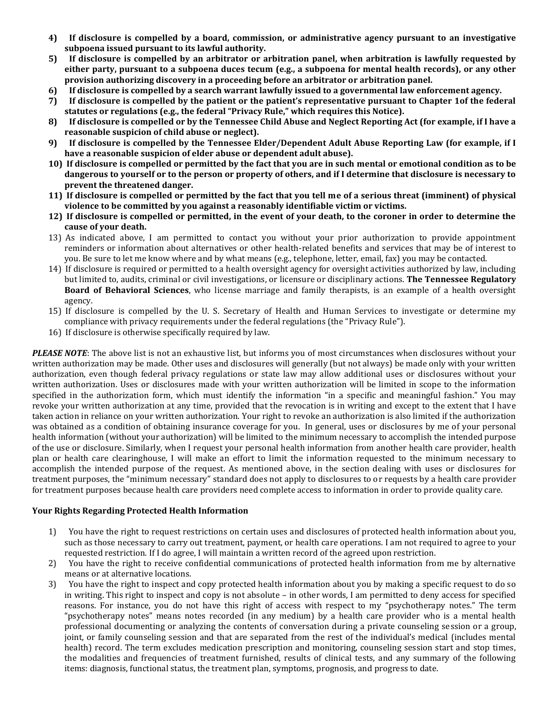- **4) If disclosure is compelled by a board, commission, or administrative agency pursuant to an investigative subpoena issued pursuant to its lawful authority.**
- **5) If disclosure is compelled by an arbitrator or arbitration panel, when arbitration is lawfully requested by either party, pursuant to a subpoena duces tecum (e.g., a subpoena for mental health records), or any other provision authorizing discovery in a proceeding before an arbitrator or arbitration panel.**
- **6) If disclosure is compelled by a search warrant lawfully issued to a governmental law enforcement agency.**
- **7) If disclosure is compelled by the patient or the patient's representative pursuant to Chapter 1of the federal statutes or regulations (e.g., the federal "Privacy Rule," which requires this Notice).**
- **8) If disclosure is compelled or by the Tennessee Child Abuse and Neglect Reporting Act (for example, if I have a reasonable suspicion of child abuse or neglect).**
- **9) If disclosure is compelled by the Tennessee Elder/Dependent Adult Abuse Reporting Law (for example, if I have a reasonable suspicion of elder abuse or dependent adult abuse).**
- **10) If disclosure is compelled or permitted by the fact that you are in such mental or emotional condition as to be dangerous to yourself or to the person or property of others, and if I determine that disclosure is necessary to prevent the threatened danger.**
- **11) If disclosure is compelled or permitted by the fact that you tell me of a serious threat (imminent) of physical violence to be committed by you against a reasonably identifiable victim or victims.**
- **12) If disclosure is compelled or permitted, in the event of your death, to the coroner in order to determine the cause of your death.**
- 13) As indicated above, I am permitted to contact you without your prior authorization to provide appointment reminders or information about alternatives or other health-related benefits and services that may be of interest to you. Be sure to let me know where and by what means (e.g., telephone, letter, email, fax) you may be contacted.
- 14) If disclosure is required or permitted to a health oversight agency for oversight activities authorized by law, including but limited to, audits, criminal or civil investigations, or licensure or disciplinary actions. **The Tennessee Regulatory Board of Behavioral Sciences**, who license marriage and family therapists, is an example of a health oversight agency.
- 15) If disclosure is compelled by the U. S. Secretary of Health and Human Services to investigate or determine my compliance with privacy requirements under the federal regulations (the "Privacy Rule").
- 16) If disclosure is otherwise specifically required by law.

*PLEASE NOTE*: The above list is not an exhaustive list, but informs you of most circumstances when disclosures without your written authorization may be made. Other uses and disclosures will generally (but not always) be made only with your written authorization, even though federal privacy regulations or state law may allow additional uses or disclosures without your written authorization. Uses or disclosures made with your written authorization will be limited in scope to the information specified in the authorization form, which must identify the information "in a specific and meaningful fashion." You may revoke your written authorization at any time, provided that the revocation is in writing and except to the extent that I have taken action in reliance on your written authorization. Your right to revoke an authorization is also limited if the authorization was obtained as a condition of obtaining insurance coverage for you. In general, uses or disclosures by me of your personal health information (without your authorization) will be limited to the minimum necessary to accomplish the intended purpose of the use or disclosure. Similarly, when I request your personal health information from another health care provider, health plan or health care clearinghouse, I will make an effort to limit the information requested to the minimum necessary to accomplish the intended purpose of the request. As mentioned above, in the section dealing with uses or disclosures for treatment purposes, the "minimum necessary" standard does not apply to disclosures to or requests by a health care provider for treatment purposes because health care providers need complete access to information in order to provide quality care.

# **Your Rights Regarding Protected Health Information**

- 1) You have the right to request restrictions on certain uses and disclosures of protected health information about you, such as those necessary to carry out treatment, payment, or health care operations. I am not required to agree to your requested restriction. If I do agree, I will maintain a written record of the agreed upon restriction.
- 2) You have the right to receive confidential communications of protected health information from me by alternative means or at alternative locations.
- 3) You have the right to inspect and copy protected health information about you by making a specific request to do so in writing. This right to inspect and copy is not absolute – in other words, I am permitted to deny access for specified reasons. For instance, you do not have this right of access with respect to my "psychotherapy notes." The term "psychotherapy notes" means notes recorded (in any medium) by a health care provider who is a mental health professional documenting or analyzing the contents of conversation during a private counseling session or a group, joint, or family counseling session and that are separated from the rest of the individual's medical (includes mental health) record. The term excludes medication prescription and monitoring, counseling session start and stop times, the modalities and frequencies of treatment furnished, results of clinical tests, and any summary of the following items: diagnosis, functional status, the treatment plan, symptoms, prognosis, and progress to date.